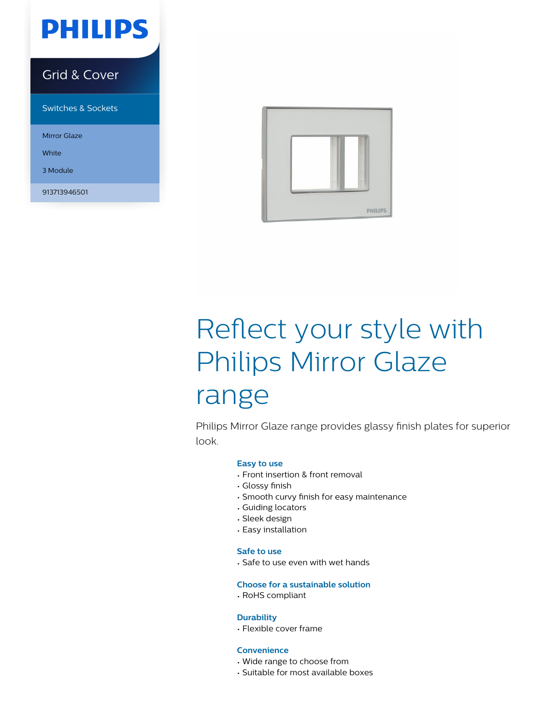

### Grid & Cover

Switches & Sockets

Mirror Glaze

**White** 

3 Module

913713946501



# Reflect your style with Philips Mirror Glaze range

Philips Mirror Glaze range provides glassy finish plates for superior look.

#### **Easy to use**

- Front insertion & front removal
- Glossy finish
- Smooth curvy finish for easy maintenance
- Guiding locators
- Sleek design
- Easy installation

#### **Safe to use**

• Safe to use even with wet hands

#### **Choose for a sustainable solution**

• RoHS compliant

#### **Durability**

• Flexible cover frame

#### **Convenience**

- Wide range to choose from
- Suitable for most available boxes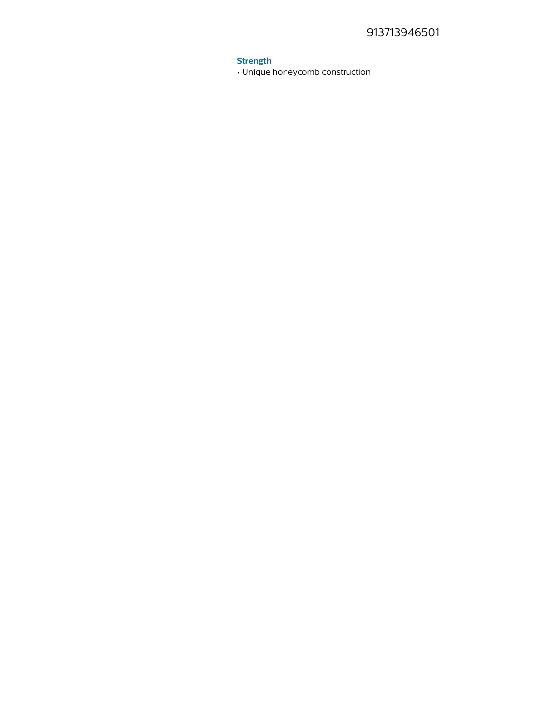#### **Strength**

. Unique honeycomb construction